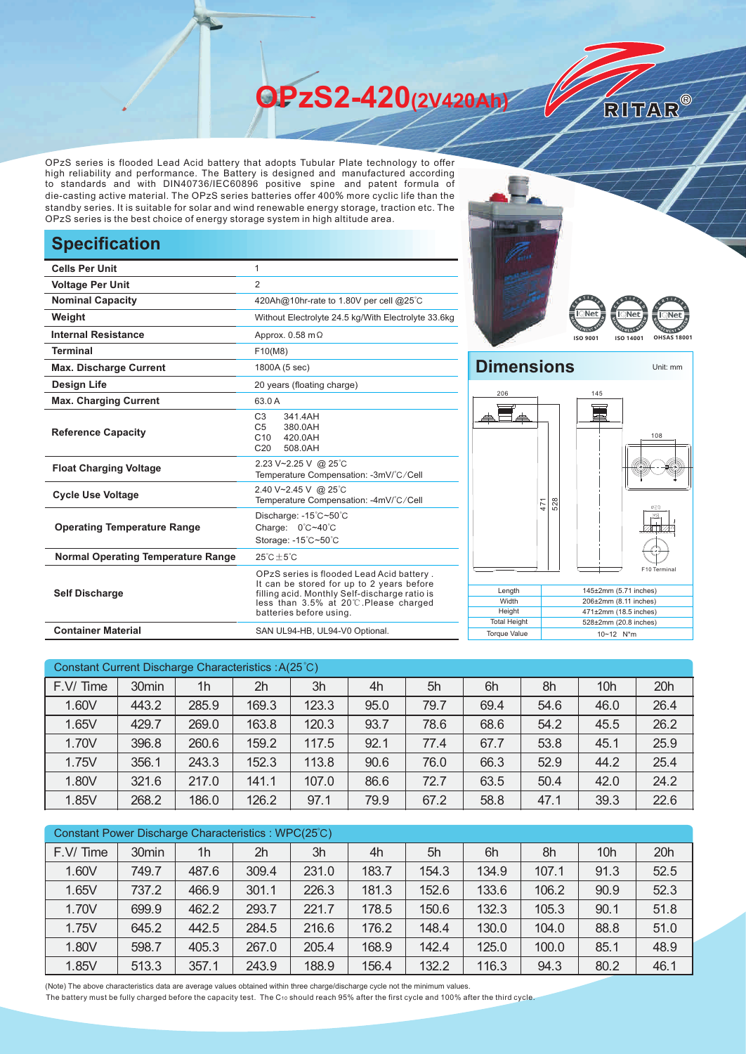**OPzS2-420(2V420Ah)** 

OPzS series is flooded Lead Acid battery that adopts Tubular Plate technology to offer high reliability and performance. The Battery is designed and manufactured according to standards and with DIN40736/IEC60896 positive spine and patent formula of die-casting active material. The OPzS series batteries offer 400% more cyclic life than the standby series. It is suitable for solar and wind renewable energy storage, traction etc. The OPzS series is the best choice of energy storage system in high altitude area.

## **Specification**

| <b>Cells Per Unit</b>                     | $\mathbf{1}$                                                                                                                                                                                               |  |  |  |  |
|-------------------------------------------|------------------------------------------------------------------------------------------------------------------------------------------------------------------------------------------------------------|--|--|--|--|
| <b>Voltage Per Unit</b>                   | $\overline{2}$                                                                                                                                                                                             |  |  |  |  |
| <b>Nominal Capacity</b>                   | 420Ah@10hr-rate to 1.80V per cell @25°C                                                                                                                                                                    |  |  |  |  |
| Weight                                    | Without Electrolyte 24.5 kg/With Electrolyte 33.6kg                                                                                                                                                        |  |  |  |  |
| <b>Internal Resistance</b>                | Approx. $0.58$ m $\Omega$                                                                                                                                                                                  |  |  |  |  |
| <b>Terminal</b>                           | F10(M8)                                                                                                                                                                                                    |  |  |  |  |
| <b>Max. Discharge Current</b>             | 1800A (5 sec)                                                                                                                                                                                              |  |  |  |  |
| Design Life                               | 20 years (floating charge)                                                                                                                                                                                 |  |  |  |  |
| <b>Max. Charging Current</b>              | 63.0 A                                                                                                                                                                                                     |  |  |  |  |
| <b>Reference Capacity</b>                 | C <sub>3</sub><br>341.4AH<br>C <sub>5</sub><br>380.0AH<br>C10<br>420.0AH<br>C <sub>20</sub><br>508.0AH                                                                                                     |  |  |  |  |
| <b>Float Charging Voltage</b>             | 2.23 V~2.25 V @ 25°C<br>Temperature Compensation: -3mV/°C/Cell                                                                                                                                             |  |  |  |  |
| <b>Cycle Use Voltage</b>                  | 2.40 V~2.45 V @ 25°C<br>Temperature Compensation: -4mV/°C/Cell                                                                                                                                             |  |  |  |  |
| <b>Operating Temperature Range</b>        | Discharge: -15°C~50°C<br>Charge: 0°C~40°C<br>Storage: -15°C~50°C                                                                                                                                           |  |  |  |  |
| <b>Normal Operating Temperature Range</b> | $25^{\circ}$ C + 5 $^{\circ}$ C                                                                                                                                                                            |  |  |  |  |
| <b>Self Discharge</b>                     | OPzS series is flooded Lead Acid battery.<br>It can be stored for up to 2 years before<br>filling acid. Monthly Self-discharge ratio is<br>less than 3.5% at 20℃.Please charged<br>batteries before using. |  |  |  |  |
| <b>Container Material</b>                 | SAN UL94-HB, UL94-V0 Optional.                                                                                                                                                                             |  |  |  |  |





RITAR®



Torque Value 10~12 N\*m

| Constant Current Discharge Characteristics: A(25°C) |                   |                |       |       |      |      |      |      |      |      |
|-----------------------------------------------------|-------------------|----------------|-------|-------|------|------|------|------|------|------|
| F.V/Time                                            | 30 <sub>min</sub> | 1 <sub>h</sub> | 2h    | 3h    | 4h   | 5h   | 6h   | 8h   | 10h  | 20h  |
| 1.60V                                               | 443.2             | 285.9          | 169.3 | 123.3 | 95.0 | 79.7 | 69.4 | 54.6 | 46.0 | 26.4 |
| 1.65V                                               | 429.7             | 269.0          | 163.8 | 120.3 | 93.7 | 78.6 | 68.6 | 54.2 | 45.5 | 26.2 |
| 1.70V                                               | 396.8             | 260.6          | 159.2 | 117.5 | 92.1 | 77.4 | 67.7 | 53.8 | 45.1 | 25.9 |
| 1.75V                                               | 356.1             | 243.3          | 152.3 | 113.8 | 90.6 | 76.0 | 66.3 | 52.9 | 44.2 | 25.4 |
| 1.80V                                               | 321.6             | 217.0          | 141.1 | 107.0 | 86.6 | 72.7 | 63.5 | 50.4 | 42.0 | 24.2 |
| 1.85V                                               | 268.2             | 186.0          | 126.2 | 97.1  | 79.9 | 67.2 | 58.8 | 47.1 | 39.3 | 22.6 |

| Constant Power Discharge Characteristics : WPC(25°C) |       |                |       |       |       |       |       |       |      |      |
|------------------------------------------------------|-------|----------------|-------|-------|-------|-------|-------|-------|------|------|
| F.V/Time                                             | 30min | 1 <sub>h</sub> | 2h    | 3h    | 4h    | 5h    | 6h    | 8h    | 10h  | 20h  |
| 1.60V                                                | 749.7 | 487.6          | 309.4 | 231.0 | 183.7 | 154.3 | 134.9 | 107.1 | 91.3 | 52.5 |
| 1.65V                                                | 737.2 | 466.9          | 301.1 | 226.3 | 181.3 | 152.6 | 133.6 | 106.2 | 90.9 | 52.3 |
| 1.70V                                                | 699.9 | 462.2          | 293.7 | 221.7 | 178.5 | 150.6 | 132.3 | 105.3 | 90.1 | 51.8 |
| 1.75V                                                | 645.2 | 442.5          | 284.5 | 216.6 | 176.2 | 148.4 | 130.0 | 104.0 | 88.8 | 51.0 |
| 1.80V                                                | 598.7 | 405.3          | 267.0 | 205.4 | 168.9 | 142.4 | 125.0 | 100.0 | 85.1 | 48.9 |
| 1.85V                                                | 513.3 | 357.1          | 243.9 | 188.9 | 156.4 | 132.2 | 116.3 | 94.3  | 80.2 | 46.1 |

(Note) The above characteristics data are average values obtained within three charge/discharge cycle not the minimum values.

The battery must be fully charged before the capacity test. The C10 should reach 95% after the first cycle and 100% after the third cycle.